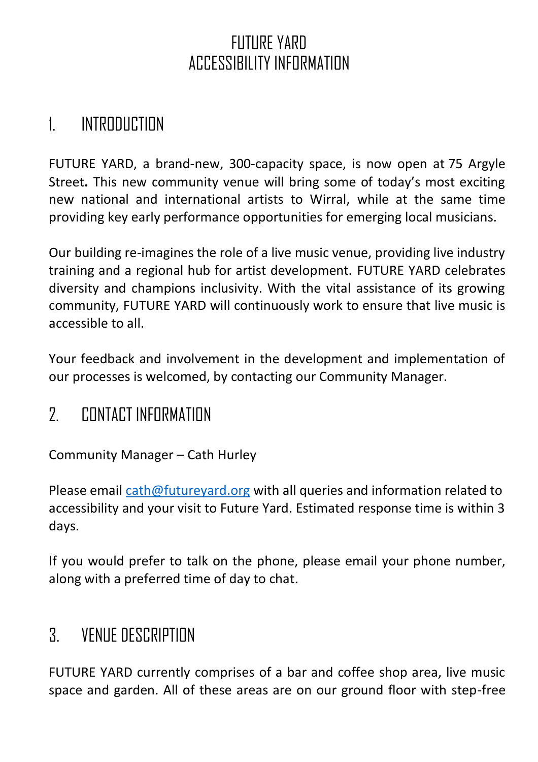### FUTURE YARD ACCESSIBILITY INFORMATION

### 1. INTRODUCTION

FUTURE YARD, a brand-new, 300-capacity space, is now open at 75 Argyle Street**.** This new community venue will bring some of today's most exciting new national and international artists to Wirral, while at the same time providing key early performance opportunities for emerging local musicians.

Our building re-imagines the role of a live music venue, providing live industry training and a regional hub for artist development. FUTURE YARD celebrates diversity and champions inclusivity. With the vital assistance of its growing community, FUTURE YARD will continuously work to ensure that live music is accessible to all.

Your feedback and involvement in the development and implementation of our processes is welcomed, by contacting our Community Manager.

### 2. CONTACT INFORMATION

Community Manager – Cath Hurley

Please email [cath@futureyard.org](mailto:cath@futureyard.org) with all queries and information related to accessibility and your visit to Future Yard. Estimated response time is within 3 days.

If you would prefer to talk on the phone, please email your phone number, along with a preferred time of day to chat.

### 3. VENUE DESCRIPTION

FUTURE YARD currently comprises of a bar and coffee shop area, live music space and garden. All of these areas are on our ground floor with step-free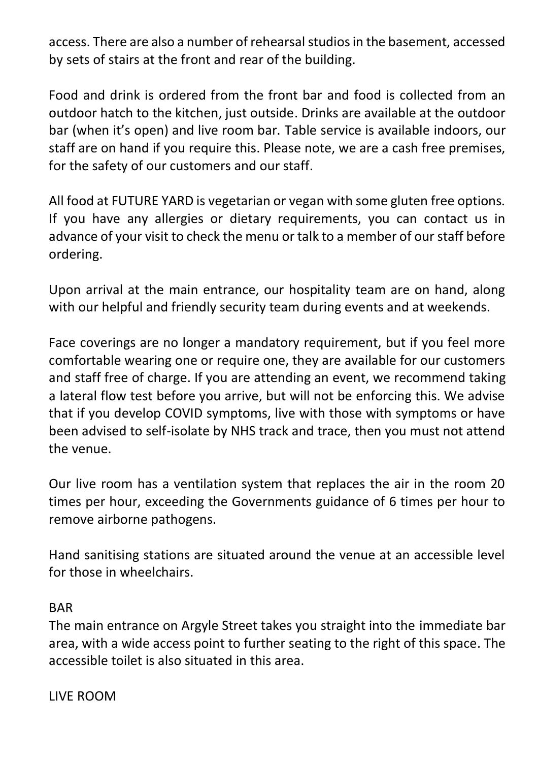access. There are also a number of rehearsal studios in the basement, accessed by sets of stairs at the front and rear of the building.

Food and drink is ordered from the front bar and food is collected from an outdoor hatch to the kitchen, just outside. Drinks are available at the outdoor bar (when it's open) and live room bar. Table service is available indoors, our staff are on hand if you require this. Please note, we are a cash free premises, for the safety of our customers and our staff.

All food at FUTURE YARD is vegetarian or vegan with some gluten free options. If you have any allergies or dietary requirements, you can contact us in advance of your visit to check the menu or talk to a member of our staff before ordering.

Upon arrival at the main entrance, our hospitality team are on hand, along with our helpful and friendly security team during events and at weekends.

Face coverings are no longer a mandatory requirement, but if you feel more comfortable wearing one or require one, they are available for our customers and staff free of charge. If you are attending an event, we recommend taking a lateral flow test before you arrive, but will not be enforcing this. We advise that if you develop COVID symptoms, live with those with symptoms or have been advised to self-isolate by NHS track and trace, then you must not attend the venue.

Our live room has a ventilation system that replaces the air in the room 20 times per hour, exceeding the Governments guidance of 6 times per hour to remove airborne pathogens.

Hand sanitising stations are situated around the venue at an accessible level for those in wheelchairs.

#### BAR

The main entrance on Argyle Street takes you straight into the immediate bar area, with a wide access point to further seating to the right of this space. The accessible toilet is also situated in this area.

LIVE ROOM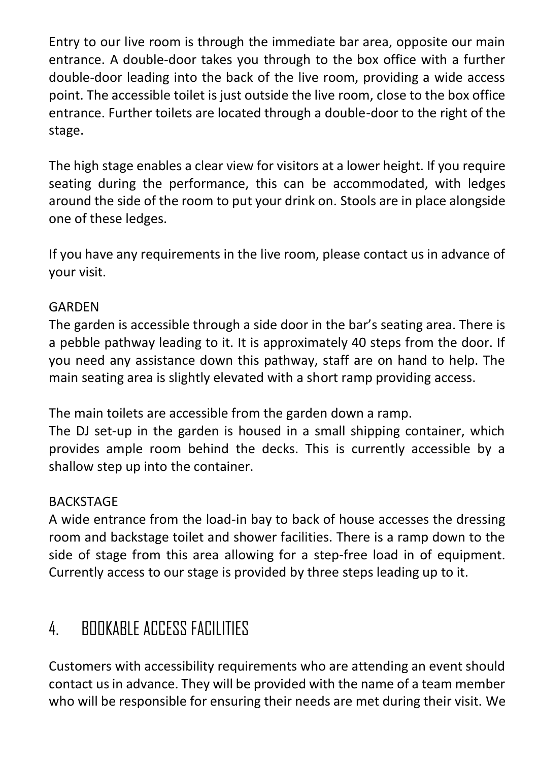Entry to our live room is through the immediate bar area, opposite our main entrance. A double-door takes you through to the box office with a further double-door leading into the back of the live room, providing a wide access point. The accessible toilet is just outside the live room, close to the box office entrance. Further toilets are located through a double-door to the right of the stage.

The high stage enables a clear view for visitors at a lower height. If you require seating during the performance, this can be accommodated, with ledges around the side of the room to put your drink on. Stools are in place alongside one of these ledges.

If you have any requirements in the live room, please contact us in advance of your visit.

#### GARDEN

The garden is accessible through a side door in the bar's seating area. There is a pebble pathway leading to it. It is approximately 40 steps from the door. If you need any assistance down this pathway, staff are on hand to help. The main seating area is slightly elevated with a short ramp providing access.

The main toilets are accessible from the garden down a ramp.

The DJ set-up in the garden is housed in a small shipping container, which provides ample room behind the decks. This is currently accessible by a shallow step up into the container.

#### **BACKSTAGF**

A wide entrance from the load-in bay to back of house accesses the dressing room and backstage toilet and shower facilities. There is a ramp down to the side of stage from this area allowing for a step-free load in of equipment. Currently access to our stage is provided by three steps leading up to it.

# 4. BOOKABLE ACCESS FACILITIES

Customers with accessibility requirements who are attending an event should contact us in advance. They will be provided with the name of a team member who will be responsible for ensuring their needs are met during their visit. We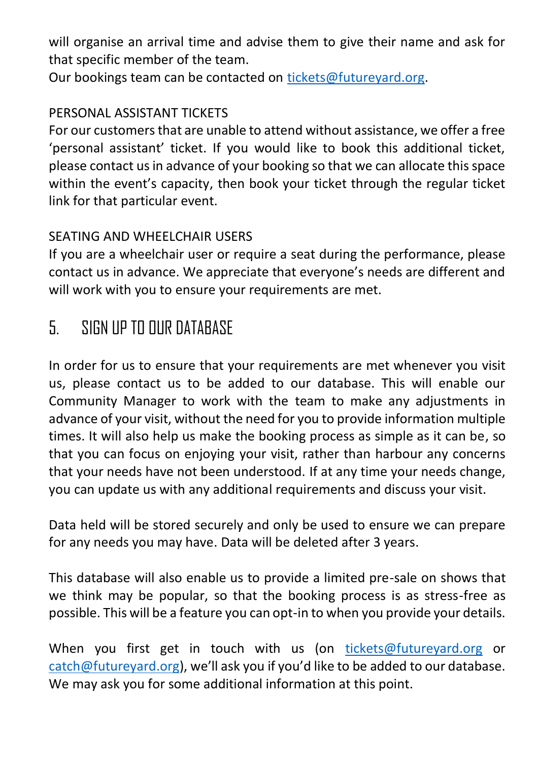will organise an arrival time and advise them to give their name and ask for that specific member of the team.

Our bookings team can be contacted on [tickets@futureyard.org.](mailto:tickets@futureyard.org)

#### PERSONAL ASSISTANT TICKETS

For our customers that are unable to attend without assistance, we offer a free 'personal assistant' ticket. If you would like to book this additional ticket, please contact us in advance of your booking so that we can allocate this space within the event's capacity, then book your ticket through the regular ticket link for that particular event.

#### SEATING AND WHEELCHAIR USERS

If you are a wheelchair user or require a seat during the performance, please contact us in advance. We appreciate that everyone's needs are different and will work with you to ensure your requirements are met.

## 5. SIGN UP TO OUR DATABASE

In order for us to ensure that your requirements are met whenever you visit us, please contact us to be added to our database. This will enable our Community Manager to work with the team to make any adjustments in advance of your visit, without the need for you to provide information multiple times. It will also help us make the booking process as simple as it can be, so that you can focus on enjoying your visit, rather than harbour any concerns that your needs have not been understood. If at any time your needs change, you can update us with any additional requirements and discuss your visit.

Data held will be stored securely and only be used to ensure we can prepare for any needs you may have. Data will be deleted after 3 years.

This database will also enable us to provide a limited pre-sale on shows that we think may be popular, so that the booking process is as stress-free as possible. This will be a feature you can opt-in to when you provide your details.

When you first get in touch with us (on [tickets@futureyard.org](mailto:tickets@futureyard.org) or [catch@futureyard.org](mailto:catch@futureyard.org)), we'll ask you if you'd like to be added to our database. We may ask you for some additional information at this point.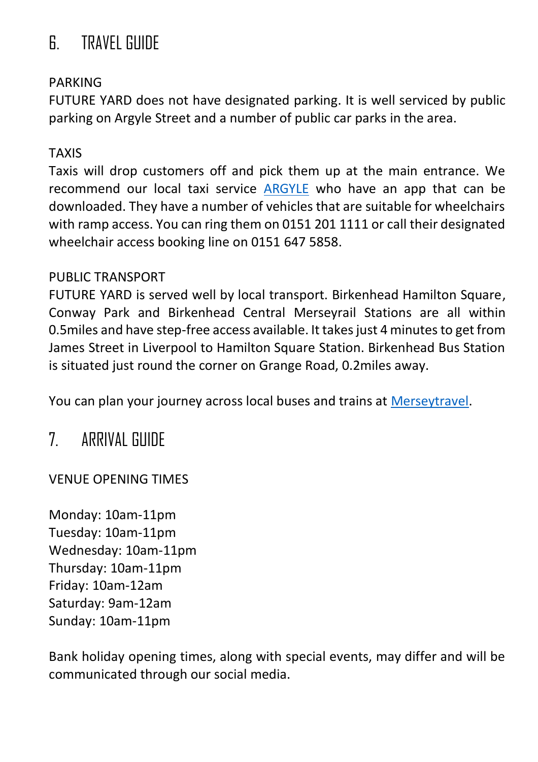# 6. TRAVEL GUIDE

#### PARKING

FUTURE YARD does not have designated parking. It is well serviced by public parking on Argyle Street and a number of public car parks in the area.

#### TAXIS

Taxis will drop customers off and pick them up at the main entrance. We recommend our local taxi service [ARGYLE](https://argylesatellite.com/) who have an app that can be downloaded. They have a number of vehicles that are suitable for wheelchairs with ramp access. You can ring them on 0151 201 1111 or call their designated wheelchair access booking line on 0151 647 5858.

#### PUBLIC TRANSPORT

FUTURE YARD is served well by local transport. Birkenhead Hamilton Square, Conway Park and Birkenhead Central Merseyrail Stations are all within 0.5miles and have step-free access available. It takes just 4 minutes to get from James Street in Liverpool to Hamilton Square Station. Birkenhead Bus Station is situated just round the corner on Grange Road, 0.2miles away.

You can plan your journey across local buses and trains at [Merseytravel.](https://www.merseytravel.gov.uk/timetables/#bus)

### 7. ARRIVAL GUIDE

VENUE OPENING TIMES

Monday: 10am-11pm Tuesday: 10am-11pm Wednesday: 10am-11pm Thursday: 10am-11pm Friday: 10am-12am Saturday: 9am-12am Sunday: 10am-11pm

Bank holiday opening times, along with special events, may differ and will be communicated through our social media.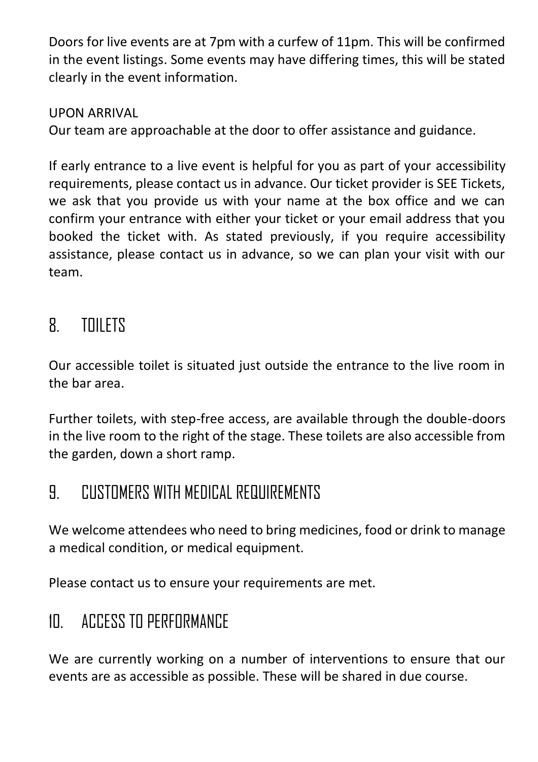Doors for live events are at 7pm with a curfew of 11pm. This will be confirmed in the event listings. Some events may have differing times, this will be stated clearly in the event information.

UPON ARRIVAL

Our team are approachable at the door to offer assistance and guidance.

If early entrance to a live event is helpful for you as part of your accessibility requirements, please contact us in advance. Our ticket provider is SEE Tickets, we ask that you provide us with your name at the box office and we can confirm your entrance with either your ticket or your email address that you booked the ticket with. As stated previously, if you require accessibility assistance, please contact us in advance, so we can plan your visit with our team.

## 8. TOILETS

Our accessible toilet is situated just outside the entrance to the live room in the bar area.

Further toilets, with step-free access, are available through the double-doors in the live room to the right of the stage. These toilets are also accessible from the garden, down a short ramp.

# 9. CUSTOMERS WITH MEDICAL REQUIREMENTS

We welcome attendees who need to bring medicines, food or drink to manage a medical condition, or medical equipment.

Please contact us to ensure your requirements are met.

# 10. ACCESS TO PERFORMANCE

We are currently working on a number of interventions to ensure that our events are as accessible as possible. These will be shared in due course.